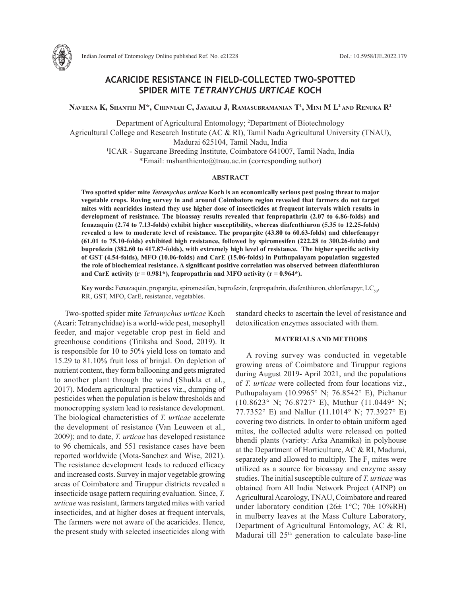

Indian Journal of Entomology Online published Ref. No. e21228 DoI.: 10.5958/IJE.2022.179

# **ACARICIDE RESISTANCE IN FIELD-COLLECTED TWO-SPOTTED SPIDER MITE** *TETRANYCHUS URTICAE* **KOCH**

**Naveena K, Shanthi M\*, Chinniah C, Jayaraj J, Ramasubramanian T1 , Mini M L2 and Renuka R2**

Department of Agricultural Entomology; 2 Department of Biotechnology Agricultural College and Research Institute (AC & RI), Tamil Nadu Agricultural University (TNAU), Madurai 625104, Tamil Nadu, India 1 ICAR - Sugarcane Breeding Institute, Coimbatore 641007, Tamil Nadu, India \*Email: mshanthiento@tnau.ac.in (corresponding author)

# **ABSTRACT**

**Two spotted spider mite** *Tetranychus urticae* **Koch is an economically serious pest posing threat to major vegetable crops. Roving survey in and around Coimbatore region revealed that farmers do not target mites with acaricides instead they use higher dose of insecticides at frequent intervals which results in development of resistance. The bioassay results revealed that fenpropathrin (2.07 to 6.86-folds) and fenazaquin (2.74 to 7.13-folds) exhibit higher susceptibility, whereas diafenthiuron (5.35 to 12.25-folds) revealed a low to moderate level of resistance. The propargite (43.80 to 60.63-folds) and chlorfenapyr (61.01 to 75.10-folds) exhibited high resistance, followed by spiromesifen (222.28 to 300.26-folds) and buprofezin (382.60 to 417.87-folds), with extremely high level of resistance. The higher specific activity of GST (4.54-folds), MFO (10.06-folds) and CarE (15.06-folds) in Puthupalayam population suggested the role of biochemical resistance. A significant positive correlation was observed between diafenthiuron**  and CarE activity  $(r = 0.981^*)$ , fenpropathrin and MFO activity  $(r = 0.964^*)$ .

**Key words:** Fenazaquin, propargite, spiromesifen, buprofezin, fenpropathrin, diafenthiuron, chlorfenapyr, LC<sub>50</sub>, RR, GST, MFO, CarE, resistance, vegetables.

Two-spotted spider mite *Tetranychus urticae* Koch (Acari: Tetranychidae) is a world-wide pest, mesophyll feeder, and major vegetable crop pest in field and greenhouse conditions (Titiksha and Sood, 2019). It is responsible for 10 to 50% yield loss on tomato and 15.29 to 81.10% fruit loss of brinjal. On depletion of nutrient content, they form ballooning and gets migrated to another plant through the wind (Shukla et al., 2017). Modern agricultural practices viz., dumping of pesticides when the population is below thresholds and monocropping system lead to resistance development. The biological characteristics of *T. urticae* accelerate the development of resistance (Van Leuween et al., 2009); and to date, *T. urticae* has developed resistance to 96 chemicals, and 551 resistance cases have been reported worldwide (Mota-Sanchez and Wise, 2021). The resistance development leads to reduced efficacy and increased costs. Survey in major vegetable growing areas of Coimbatore and Tiruppur districts revealed a insecticide usage pattern requiring evaluation. Since, *T. urticae* was resistant, farmers targeted mites with varied insecticides, and at higher doses at frequent intervals, The farmers were not aware of the acaricides. Hence, the present study with selected insecticides along with

standard checks to ascertain the level of resistance and detoxification enzymes associated with them.

#### **MATERIALS AND METHODS**

A roving survey was conducted in vegetable growing areas of Coimbatore and Tiruppur regions during August 2019- April 2021, and the populations of *T. urticae* were collected from four locations viz., Puthupalayam (10.9965° N; 76.8542° E), Pichanur (10.8623° N; 76.8727° E), Muthur (11.0449° N; 77.7352° E) and Nallur (11.1014° N; 77.3927° E) covering two districts. In order to obtain uniform aged mites, the collected adults were released on potted bhendi plants (variety: Arka Anamika) in polyhouse at the Department of Horticulture, AC & RI, Madurai, separately and allowed to multiply. The  $F_1$  mites were utilized as a source for bioassay and enzyme assay studies. The initial susceptible culture of *T. urticae* was obtained from All India Network Project (AINP) on Agricultural Acarology, TNAU, Coimbatore and reared under laboratory condition ( $26\pm 1^{\circ}$ C;  $70\pm 10\%$ RH) in mulberry leaves at the Mass Culture Laboratory, Department of Agricultural Entomology, AC & RI, Madurai till 25<sup>th</sup> generation to calculate base-line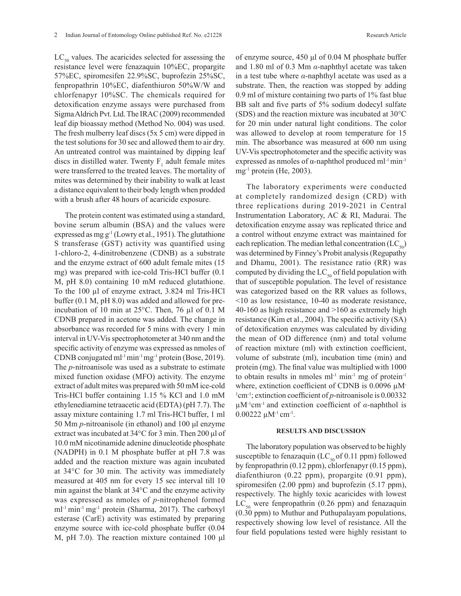$LC_{50}$  values. The acaricides selected for assessing the resistance level were fenazaquin 10%EC, propargite 57%EC, spiromesifen 22.9%SC, buprofezin 25%SC, fenpropathrin 10%EC, diafenthiuron 50%W/W and chlorfenapyr 10%SC. The chemicals required for detoxification enzyme assays were purchased from Sigma Aldrich Pvt. Ltd. The IRAC (2009) recommended leaf dip bioassay method (Method No. 004) was used. The fresh mulberry leaf discs (5x 5 cm) were dipped in the test solutions for 30 sec and allowed them to air dry. An untreated control was maintained by dipping leaf discs in distilled water. Twenty  $F_1$  adult female mites were transferred to the treated leaves. The mortality of mites was determined by their inability to walk at least a distance equivalent to their body length when prodded with a brush after 48 hours of acaricide exposure.

The protein content was estimated using a standard, bovine serum albumin (BSA) and the values were expressed as mg  $g^{-1}$  (Lowry et al., 1951). The glutathione S transferase (GST) activity was quantified using 1-chloro-2, 4-dinitrobenzene (CDNB) as a substrate and the enzyme extract of 600 adult female mites (15 mg) was prepared with ice-cold Tris-HCl buffer (0.1 M, pH 8.0) containing 10 mM reduced glutathione. To the 100 µl of enzyme extract, 3.824 ml Tris-HCl buffer (0.1 M, pH 8.0) was added and allowed for preincubation of 10 min at 25°C. Then, 76 µl of 0.1 M CDNB prepared in acetone was added. The change in absorbance was recorded for 5 mins with every 1 min interval in UV-Vis spectrophotometer at 340 nm and the specific activity of enzyme was expressed as nmoles of CDNB conjugated ml-1 min-1 mg-1 protein (Bose, 2019). The *p*-nitroanisole was used as a substrate to estimate mixed function oxidase (MFO) activity. The enzyme extract of adult mites was prepared with 50 mM ice-cold Tris-HCl buffer containing 1.15 % KCl and 1.0 mM ethylenediamine tetraacetic acid (EDTA) (pH 7.7). The assay mixture containing 1.7 ml Tris-HCl buffer, 1 ml 50 Mm *p*-nitroanisole (in ethanol) and 100 μl enzyme extract was incubated at 34°C for 3 min. Then 200 μl of 10.0 mM nicotinamide adenine dinucleotide phosphate (NADPH) in 0.1 M phosphate buffer at pH 7.8 was added and the reaction mixture was again incubated at 34°C for 30 min. The activity was immediately measured at 405 nm for every 15 sec interval till 10 min against the blank at 34°C and the enzyme activity was expressed as nmoles of *p*-nitrophenol formed ml<sup>-1</sup> min<sup>-1</sup> mg<sup>-1</sup> protein (Sharma, 2017). The carboxyl esterase (CarE) activity was estimated by preparing enzyme source with ice-cold phosphate buffer (0.04 M, pH 7.0). The reaction mixture contained 100 μl

of enzyme source, 450 μl of 0.04 M phosphate buffer and 1.80 ml of 0.3 Mm *α*-naphthyl acetate was taken in a test tube where *α*-naphthyl acetate was used as a substrate. Then, the reaction was stopped by adding 0.9 ml of mixture containing two parts of 1% fast blue BB salt and five parts of 5% sodium dodecyl sulfate (SDS) and the reaction mixture was incubated at 30°C for 20 min under natural light conditions. The color was allowed to develop at room temperature for 15 min. The absorbance was measured at 600 nm using UV-Vis spectrophotometer and the specific activity was expressed as nmoles of  $\alpha$ -naphthol produced ml<sup>-1</sup> min<sup>-1</sup>  $mg^{-1}$  protein (He, 2003).

The laboratory experiments were conducted at completely randomized design (CRD) with three replications during 2019-2021 in Central Instrumentation Laboratory, AC & RI, Madurai. The detoxification enzyme assay was replicated thrice and a control without enzyme extract was maintained for each replication. The median lethal concentration  $(LC_{50})$ was determined by Finney's Probit analysis (Regupathy and Dhamu, 2001). The resistance ratio (RR) was computed by dividing the  $LC_{50}$  of field population with that of susceptible population. The level of resistance was categorized based on the RR values as follows, <10 as low resistance, 10-40 as moderate resistance, 40-160 as high resistance and >160 as extremely high resistance (Kim et al., 2004). The specific activity (SA) of detoxification enzymes was calculated by dividing the mean of OD difference (nm) and total volume of reaction mixture (ml) with extinction coefficient, volume of substrate (ml), incubation time (min) and protein (mg). The final value was multiplied with 1000 to obtain results in nmoles  $ml^{-1}$  min<sup>-1</sup> mg of protein<sup>-1</sup> where, extinction coefficient of CDNB is 0.0096  $\mu$ M-<sup>1</sup>cm<sup>-1</sup>; extinction coefficient of *p*-nitroanisole is 0.00332 µM-1cm-1 and extinction coefficient of *α*-naphthol is  $0.00222 \mu M^{-1}$  cm<sup>-1</sup>.

### **RESULTS AND DISCUSSION**

The laboratory population was observed to be highly susceptible to fenazaquin (LC $_{50}$  of 0.11 ppm) followed by fenpropathrin (0.12 ppm), chlorfenapyr (0.15 ppm), diafenthiuron (0.22 ppm), propargite (0.91 ppm), spiromesifen (2.00 ppm) and buprofezin (5.17 ppm), respectively. The highly toxic acaricides with lowest  $LC_{50}$  were fenpropathrin (0.26 ppm) and fenazaquin (0.30 ppm) to Muthur and Puthupalayam populations, respectively showing low level of resistance. All the four field populations tested were highly resistant to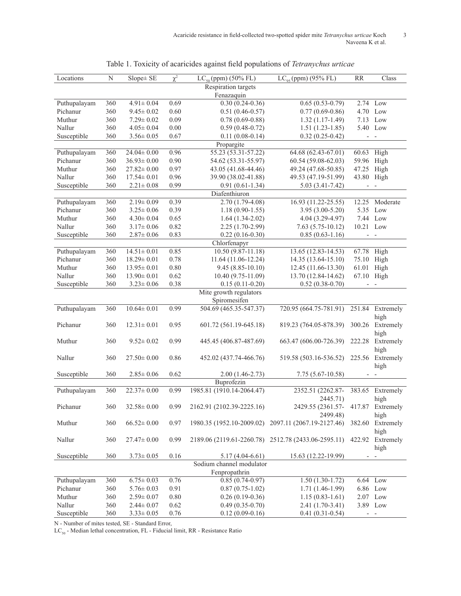| Locations              | N                          | $Slope \pm SE$          | $\chi^2$ | $LC_{95}$ (ppm) (95% FL)<br>$LC_{50}$ (ppm) (50% FL) |                                                     | <b>RR</b>                | Class                            |  |  |
|------------------------|----------------------------|-------------------------|----------|------------------------------------------------------|-----------------------------------------------------|--------------------------|----------------------------------|--|--|
|                        | <b>Respiration targets</b> |                         |          |                                                      |                                                     |                          |                                  |  |  |
| Fenazaquin             |                            |                         |          |                                                      |                                                     |                          |                                  |  |  |
| Puthupalayam           | 360                        | $4.91 \pm 0.04$         | 0.69     | $0.30(0.24-0.36)$                                    | $0.65(0.53-0.79)$                                   |                          | $2.74$ Low                       |  |  |
| Pichanur               | 360                        | $9.45 \pm 0.02$         | 0.60     | $0.51(0.46 - 0.57)$                                  | $0.77(0.69-0.86)$                                   |                          | 4.70 Low                         |  |  |
| Muthur                 | 360                        | $7.29 \pm 0.02$         | 0.09     | $0.78(0.69 - 0.88)$                                  | $1.32(1.17-1.49)$                                   |                          | 7.13 Low                         |  |  |
| Nallur                 | 360                        | $4.05 \pm 0.04$         | $0.00\,$ | $0.59(0.48-0.72)$                                    | $1.51(1.23-1.85)$                                   |                          | 5.40 Low                         |  |  |
| Susceptible            | 360                        | $3.56 \pm 0.05$         | 0.67     | $0.11(0.08-0.14)$                                    | $0.32(0.25-0.42)$                                   |                          | $\overline{\phantom{a}}$         |  |  |
|                        | Propargite                 |                         |          |                                                      |                                                     |                          |                                  |  |  |
| Puthupalayam           | 360                        | $\overline{24.04}$ 0.00 | 0.96     | 55.23 (53.31-57.22)                                  | 64.68 (62.43-67.01)                                 | 60.63                    | High                             |  |  |
| Pichanur               | 360                        | $36.93 \pm 0.00$        | 0.90     | 54.62 (53.31-55.97)                                  | 60.54 (59.08-62.03)                                 | 59.96                    | High                             |  |  |
| Muthur                 | 360                        | $27.82 \pm 0.00$        | 0.97     | 43.05 (41.68-44.46)                                  | 49.24 (47.68-50.85)                                 | 47.25 High               |                                  |  |  |
| Nallur                 | 360                        | $17.54 \pm 0.01$        | 0.96     | 39.90 (38.02-41.88)                                  | 49.53 (47.19-51.99)                                 | 43.80 High               |                                  |  |  |
| Susceptible            | 360                        | $2.21 \pm 0.08$         | 0.99     | $0.91(0.61-1.34)$                                    | $5.03(3.41 - 7.42)$                                 |                          | $\qquad \qquad \blacksquare$     |  |  |
|                        |                            |                         |          | Diafenthiuron                                        |                                                     |                          |                                  |  |  |
| Puthupalayam           | 360                        | $2.19 \pm 0.09$         | 0.39     | $2.70(1.79-4.08)$                                    | 16.93 (11.22-25.55)                                 | 12.25                    | Moderate                         |  |  |
| Pichanur               | 360                        | $3.25 \pm 0.06$         | 0.39     | $1.18(0.90-1.55)$                                    | $3.95(3.00-5.20)$                                   |                          | 5.35 Low                         |  |  |
| Muthur                 | 360                        | $4.30 \pm 0.04$         | 0.65     | $1.64(1.34-2.02)$                                    | 4.04 (3.29-4.97)                                    |                          | 7.44 Low                         |  |  |
| Nallur                 | 360                        | $3.17 \pm 0.06$         | 0.82     | $2.25(1.70-2.99)$                                    | $7.63(5.75-10.12)$                                  | 10.21 Low                |                                  |  |  |
| Susceptible            | 360                        | $2.87\!\pm0.06$         | 0.83     | $0.22(0.16-0.30)$                                    | $0.85(0.63 - 1.16)$                                 | $\overline{\phantom{a}}$ | $\sim$                           |  |  |
|                        |                            |                         |          | Chlorfenapyr                                         |                                                     |                          |                                  |  |  |
| Puthupalayam           | 360                        | $14.51 \pm 0.01$        | 0.85     | 10.50 (9.87-11.18)                                   | 13.65 (12.83-14.53)                                 | 67.78                    | High                             |  |  |
| Pichanur               | 360                        | $18.29 \pm 0.01$        | 0.78     | 11.64 (11.06-12.24)                                  | 14.35 (13.64-15.10)                                 | 75.10                    | High                             |  |  |
| Muthur                 | 360                        | $13.95 \pm 0.01$        | 0.80     | $9.45(8.85-10.10)$                                   | 12.45 (11.66-13.30)                                 | 61.01                    | High                             |  |  |
| Nallur                 | 360                        | $13.90 \pm 0.01$        | 0.62     | 10.40 (9.75-11.09)                                   | 13.70 (12.84-14.62)                                 | 67.10 High               |                                  |  |  |
| Susceptible            | 360                        | $3.23 \pm 0.06$         | 0.38     | $0.15(0.11-0.20)$                                    | $0.52(0.38-0.70)$                                   | $\overline{\phantom{0}}$ | $\overline{\phantom{a}}$         |  |  |
| Mite growth regulators |                            |                         |          |                                                      |                                                     |                          |                                  |  |  |
|                        |                            |                         |          | Spiromesifen                                         |                                                     |                          |                                  |  |  |
| Puthupalayam           | 360                        | $10.64 \pm 0.01$        | 0.99     | 504.69 (465.35-547.37)                               | 720.95 (664.75-781.91)                              | 251.84                   | Extremely<br>high                |  |  |
| Pichanur               | 360                        | $12.31 \pm 0.01$        | 0.95     | 601.72 (561.19-645.18)                               | 819.23 (764.05-878.39)                              | 300.26                   | Extremely<br>high                |  |  |
| Muthur                 | 360                        | $9.52 \pm 0.02$         | 0.99     | 445.45 (406.87-487.69)                               | 663.47 (606.00-726.39)                              | 222.28                   | Extremely                        |  |  |
| Nallur                 | 360                        | $27.50 \pm 0.00$        | 0.86     | 452.02 (437.74-466.76)                               | 519.58 (503.16-536.52)                              | 225.56                   | high<br>Extremely                |  |  |
| Susceptible            | 360                        | $2.85 \pm 0.06$         | 0.62     | $2.00(1.46 - 2.73)$                                  | $7.75(5.67-10.58)$                                  | $\overline{\phantom{a}}$ | high<br>$\overline{\phantom{a}}$ |  |  |
|                        |                            |                         |          | Buprofezin                                           |                                                     |                          |                                  |  |  |
| Puthupalayam           | 360                        | $22.37 \pm 0.00$        | 0.99     | 1985.81 (1910.14-2064.47)                            | 2352.51 (2262.87-                                   | 383.65                   | Extremely                        |  |  |
|                        |                            |                         |          |                                                      | 2445.71)                                            |                          | high                             |  |  |
| Pichanur               | 360                        | $32.58 \pm 0.00$        | 0.99     | 2162.91 (2102.39-2225.16)                            | 2429.55 (2361.57-                                   |                          | 417.87 Extremely                 |  |  |
| Muthur                 | 360                        | $66.52 \pm 0.00$        | 0.97     | 1980.35 (1952.10-2009.02)                            | 2499.48)<br>2097.11 (2067.19-2127.46)               | 382.60                   | high<br>Extremely                |  |  |
| Nallur                 | 360                        | $27.47 \pm 0.00$        | 0.99     |                                                      | 2189.06 (2119.61-2260.78) 2512.78 (2433.06-2595.11) | 422.92                   | high<br>Extremely                |  |  |
| Susceptible            | 360                        | $3.73 \pm 0.05$         | 0.16     | $5.17(4.04-6.61)$                                    | 15.63 (12.22-19.99)                                 | $\overline{\phantom{a}}$ | high<br>$\overline{\phantom{a}}$ |  |  |
|                        |                            |                         |          | Sodium channel modulator                             |                                                     |                          |                                  |  |  |
| Fenpropathrin          |                            |                         |          |                                                      |                                                     |                          |                                  |  |  |
| Puthupalayam           | 360                        | $6.75 \pm 0.03$         | 0.76     | $0.85(0.74-0.97)$                                    | $1.50(1.30-1.72)$                                   |                          | 6.64 Low                         |  |  |
| Pichanur               | 360                        | $5.76 \pm 0.03$         | 0.91     | $0.87(0.75-1.02)$                                    | $1.71(1.46-1.99)$                                   |                          | 6.86 Low                         |  |  |
| Muthur                 | 360                        | $2.59 \pm 0.07$         | 0.80     | $0.26(0.19-0.36)$                                    | $1.15(0.83-1.61)$                                   |                          | 2.07 Low                         |  |  |
| Nallur                 | 360                        | $2.44 \pm 0.07$         | 0.62     | $0.49(0.35-0.70)$                                    | 2.41 (1.70-3.41)                                    |                          | 3.89 Low                         |  |  |
| Susceptible            | 360                        | $3.33 \pm 0.05$         | 0.76     | $0.12(0.09-0.16)$                                    | $0.41(0.31-0.54)$                                   |                          | $ -$                             |  |  |
|                        |                            |                         |          |                                                      |                                                     |                          |                                  |  |  |

|  |  | Table 1. Toxicity of acaricides against field populations of Tetranychus urticae |  |
|--|--|----------------------------------------------------------------------------------|--|
|  |  |                                                                                  |  |

N - Number of mites tested, SE - Standard Error,

 $\mathop{\rm LC}\nolimits_{\mathfrak{so}}$  - Median lethal concentration, FL - Fiducial limit, RR - Resistance Ratio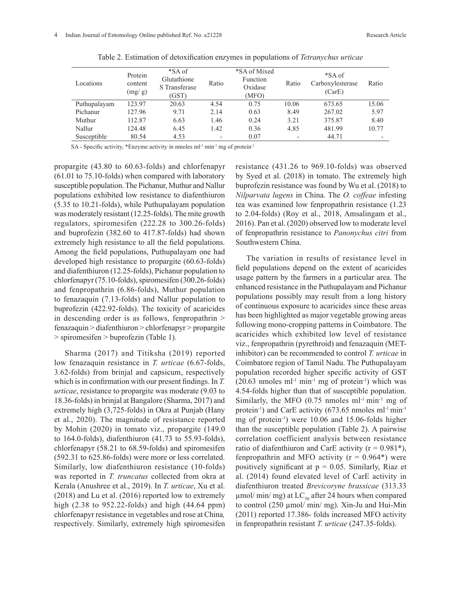| Locations    | Protein<br>content<br>(mg/g) | *SA of<br>Glutathione<br>S Transferase<br>(GST) | Ratio                    | *SA of Mixed<br>Function<br>Oxidase<br>(MFO) | Ratio | *SA of<br>Carboxylesterase<br>(CarE) | Ratio |
|--------------|------------------------------|-------------------------------------------------|--------------------------|----------------------------------------------|-------|--------------------------------------|-------|
| Puthupalayam | 123.97                       | 20.63                                           | 4.54                     | 0.75                                         | 10.06 | 673.65                               | 15.06 |
| Pichanur     | 127.96                       | 9.71                                            | 2.14                     | 0.63                                         | 8.49  | 267.02                               | 5.97  |
| Muthur       | 112.87                       | 6.63                                            | 1.46                     | 0.24                                         | 3.21  | 375.87                               | 8.40  |
| Nallur       | 124.48                       | 6.45                                            | 1.42                     | 0.36                                         | 4.85  | 481.99                               | 10.77 |
| Susceptible  | 80.54                        | 4.53                                            | $\overline{\phantom{0}}$ | 0.07                                         |       | 44.71                                |       |

Table 2. Estimation of detoxification enzymes in populations of *Tetranychus urticae*

SA - Specific activity, \*Enzyme activity in nmoles ml<sup>-1</sup> min<sup>-1</sup> mg of protein<sup>-1</sup>

propargite (43.80 to 60.63-folds) and chlorfenapyr (61.01 to 75.10-folds) when compared with laboratory susceptible population. The Pichanur, Muthur and Nallur populations exhibited low resistance to diafenthiuron (5.35 to 10.21-folds), while Puthupalayam population was moderately resistant (12.25-folds). The mite growth regulators, spiromesifen (222.28 to 300.26-folds) and buprofezin (382.60 to 417.87-folds) had shown extremely high resistance to all the field populations. Among the field populations, Puthupalayam one had developed high resistance to propargite (60.63-folds) and diafenthiuron (12.25-folds), Pichanur population to chlorfenapyr (75.10-folds), spiromesifen (300.26-folds) and fenpropathrin (6.86-folds), Muthur population to fenazaquin (7.13-folds) and Nallur population to buprofezin (422.92-folds). The toxicity of acaricides in descending order is as follows, fenpropathrin > fenazaquin > diafenthiuron > chlorfenapyr > propargite > spiromesifen > buprofezin (Table 1).

Sharma (2017) and Titiksha (2019) reported low fenazaquin resistance in *T. urticae* (6.67-folds, 3.62-folds) from brinjal and capsicum, respectively which is in confirmation with our present findings. In *T. urticae*, resistance to propargite was moderate (9.03 to 18.36-folds) in brinjal at Bangalore (Sharma, 2017) and extremely high (3,725-folds) in Okra at Punjab (Hany et al., 2020). The magnitude of resistance reported by Mohin (2020) in tomato viz., propargite (149.0 to 164.0-folds), diafenthiuron (41.73 to 55.93-folds), chlorfenapyr (58.21 to 68.59-folds) and spiromesifen (592.31 to 625.86-folds) were more or less correlated. Similarly, low diafenthiuron resistance (10-folds) was reported in *T. truncatus* collected from okra at Kerala (Anushree et al., 2019). In *T. urticae*, Xu et al. (2018) and Lu et al. (2016) reported low to extremely high (2.38 to 952.22-folds) and high (44.64 ppm) chlorfenapyr resistance in vegetables and rose at China*,* respectively. Similarly, extremely high spiromesifen

resistance (431.26 to 969.10-folds) was observed by Syed et al. (2018) in tomato. The extremely high buprofezin resistance was found by Wu et al. (2018) to *Nilparvata lugens* in China. The *O. coffeae* infesting tea was examined low fenpropathrin resistance (1.23 to 2.04-folds) (Roy et al., 2018, Amsalingam et al., 2016). Pan et al. (2020) observed low to moderate level of fenpropathrin resistance to *Panonychus citri* from Southwestern China.

The variation in results of resistance level in field populations depend on the extent of acaricides usage pattern by the farmers in a particular area. The enhanced resistance in the Puthupalayam and Pichanur populations possibly may result from a long history of continuous exposure to acaricides since these areas has been highlighted as major vegetable growing areas following mono-cropping patterns in Coimbatore. The acaricides which exhibited low level of resistance viz., fenpropathrin (pyrethroid) and fenazaquin (METinhibitor) can be recommended to control *T. urticae* in Coimbatore region of Tamil Nadu. The Puthupalayam population recorded higher specific activity of GST  $(20.63 \text{ nmoles ml}^{-1} \text{ min}^{-1} \text{ mg of protein}^{-1})$  which was 4.54-folds higher than that of susceptible population. Similarly, the MFO  $(0.75 \text{~nmoles~ml}^{-1} \text{~min}^{-1} \text{~mg~of}$ protein<sup>-1</sup>) and CarE activity (673.65 nmoles ml<sup>-1</sup> min<sup>-1</sup> mg of protein-1) were 10.06 and 15.06-folds higher than the susceptible population (Table 2). A pairwise correlation coefficient analysis between resistance ratio of diafenthiuron and CarE activity ( $r = 0.981$ <sup>\*</sup>), fenpropathrin and MFO activity  $(r = 0.964*)$  were positively significant at  $p = 0.05$ . Similarly, Riaz et al. (2014) found elevated level of CarE activity in diafenthiuron treated *Brevicoryne brassicae* (313.33  $\mu$ mol/ min/ mg) at LC<sub>50</sub> after 24 hours when compared to control (250 µmol/ min/ mg). Xin-Ju and Hui-Min (2011) reported 17.386- folds increased MFO activity in fenpropathrin resistant *T. urticae* (247.35-folds).